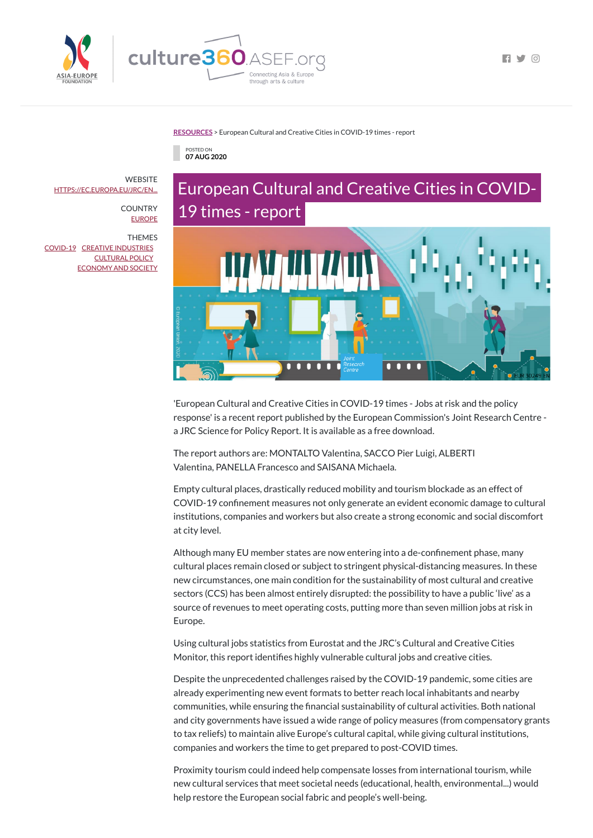

 $\Box$ 

### **[RESOURCES](https://culture360.asef.org/resources/)** > European Cultural and Creative Cities in COVID-19 times - report



# European Cultural and Creative Cities in COVID-19 times - report



'European Cultural and Creative Cities in COVID-19 times - Jobs at risk and the policy response' is a recent report published by the European Commission's Joint Research Centre a JRC Science for Policy Report. It is available as a free download.

The report authors are: MONTALTO Valentina, SACCO Pier Luigi, ALBERTI Valentina, PANELLA Francesco and SAISANA Michaela.

Although many EU member states are now entering into a de-confinement phase, many cultural places remain closed or subject to stringent physical-distancing measures. In these new circumstances, one main condition for the sustainability of most cultural and creative sectors (CCS) has been almost entirely disrupted: the possibility to have a public 'live' as a source of revenues to meet operating costs, putting more than seven million jobs at risk in Europe.

Using cultural jobs statistics from Eurostat and the JRC's Cultural and Creative Cities Monitor, this report identifies highly vulnerable cultural jobs and creative cities.

Empty cultural places, drastically reduced mobility and tourism blockade as an effect of COVID-19 confinement measures not only generate an evident economic damage to cultural institutions, companies and workers but also create a strong economic and social discomfort at city level.

**WEBSITE** [HTTPS://EC.EUROPA.EU/JRC/EN...](https://ec.europa.eu/jrc/en/publication/eur-scientific-and-technical-research-reports/european-cultural-and-creative-cities-covid-19-times)

> **COUNTRY** [EUROPE](https://culture360.asef.org/countries/europe/)

> > Despite the unprecedented challenges raised by the COVID-19 pandemic, some cities are already experimenting new event formats to better reach local inhabitants and nearby communities, while ensuring the financial sustainability of cultural activities. Both national and city governments have issued a wide range of policy measures (from compensatory grants to tax reliefs) to maintain alive Europe's cultural capital, while giving cultural institutions, companies and workers the time to get prepared to post-COVID times.

Proximity tourism could indeed help compensate losses from international tourism, while new cultural services that meet societal needs (educational, health, environmental...) would help restore the European social fabric and people's well-being.

THEMES

[COVID-19](https://culture360.asef.org/themes/covid-19/) CREATIVE [INDUSTRIES](https://culture360.asef.org/themes/creative-industries/) [CULTURAL](https://culture360.asef.org/themes/cultural-policy/) POLICY [ECONOMY](https://culture360.asef.org/themes/economy-and-society/) AND SOCIETY